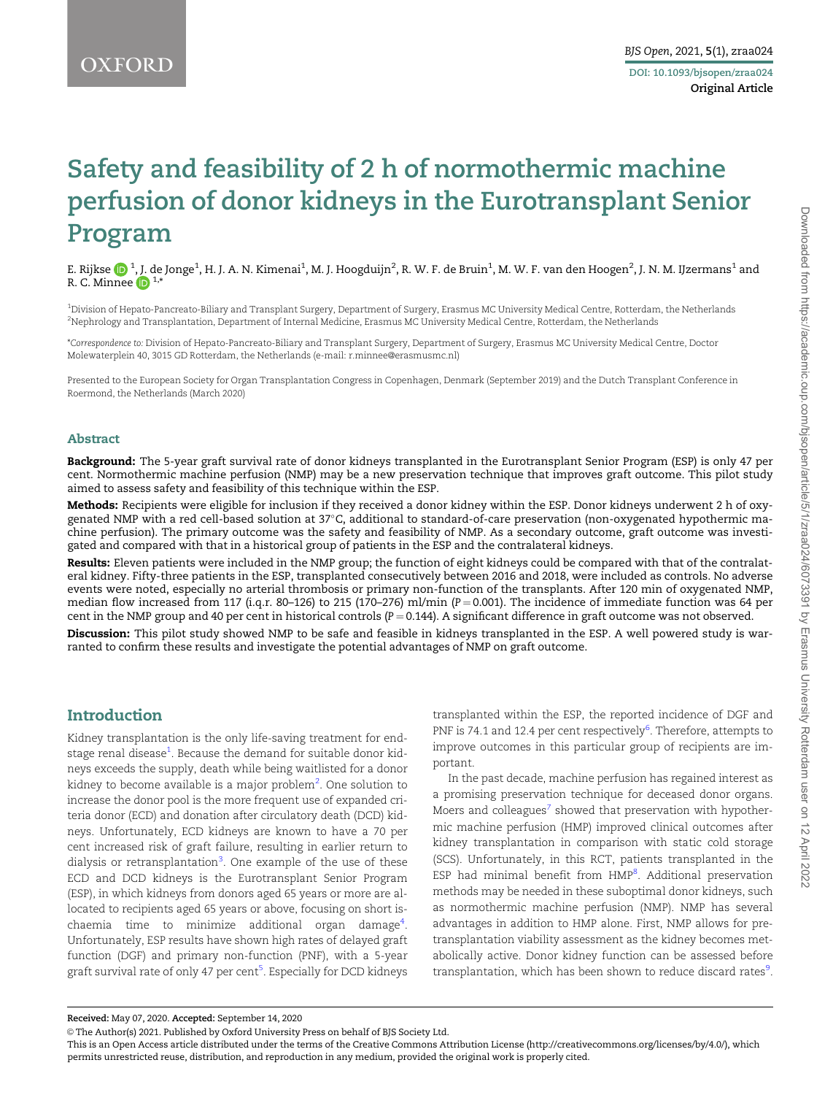# <span id="page-0-0"></span>Safety and feasibility of 2 h of normothermic machine perfusion of donor kidneys in the Eurotransplant Senior Program

E. Rijkse  $\bigcirc$   $^{1}$ , J. de Jonge $^{1}$ , H. J. A. N. Kimenai $^{1}$ , M. J. Hoogduijn $^{2}$ , R. W. F. de Bruin $^{1}$ , M. W. F. van den Hoogen $^{2}$ , J. N. M. IJzermans $^{1}$  and R. C. Minnee  $\mathbb{D}^{1,*}$ 

1 Division of Hepato-Pancreato-Biliary and Transplant Surgery, Department of Surgery, Erasmus MC University Medical Centre, Rotterdam, the Netherlands 2 Nephrology and Transplantation, Department of Internal Medicine, Erasmus MC University Medical Centre, Rotterdam, the Netherlands

\*Correspondence to: Division of Hepato-Pancreato-Biliary and Transplant Surgery, Department of Surgery, Erasmus MC University Medical Centre, Doctor Molewaterplein 40, 3015 GD Rotterdam, the Netherlands (e-mail: r.minnee@erasmusmc.nl)

Presented to the European Society for Organ Transplantation Congress in Copenhagen, Denmark (September 2019) and the Dutch Transplant Conference in Roermond, the Netherlands (March 2020)

#### Abstract

Background: The 5-year graft survival rate of donor kidneys transplanted in the Eurotransplant Senior Program (ESP) is only 47 per cent. Normothermic machine perfusion (NMP) may be a new preservation technique that improves graft outcome. This pilot study aimed to assess safety and feasibility of this technique within the ESP.

Methods: Recipients were eligible for inclusion if they received a donor kidney within the ESP. Donor kidneys underwent 2 h of oxygenated NMP with a red cell-based solution at 37°C, additional to standard-of-care preservation (non-oxygenated hypothermic machine perfusion). The primary outcome was the safety and feasibility of NMP. As a secondary outcome, graft outcome was investigated and compared with that in a historical group of patients in the ESP and the contralateral kidneys.

Results: Eleven patients were included in the NMP group; the function of eight kidneys could be compared with that of the contralateral kidney. Fifty-three patients in the ESP, transplanted consecutively between 2016 and 2018, were included as controls. No adverse events were noted, especially no arterial thrombosis or primary non-function of the transplants. After 120 min of oxygenated NMP, median flow increased from 117 (i.q.r. 80-126) to 215 (170-276) ml/min (P = 0.001). The incidence of immediate function was 64 per cent in the NMP group and 40 per cent in historical controls  $(P = 0.144)$ . A significant difference in graft outcome was not observed.

Discussion: This pilot study showed NMP to be safe and feasible in kidneys transplanted in the ESP. A well powered study is warranted to confirm these results and investigate the potential advantages of NMP on graft outcome.

# Introduction

Kidney transplantation is the only life-saving treatment for end-stage renal disease<sup>[1](#page-6-0)</sup>. Because the demand for suitable donor kidneys exceeds the supply, death while being waitlisted for a donor kidney to become available is a major problem<sup>[2](#page-6-0)</sup>. One solution to increase the donor pool is the more frequent use of expanded criteria donor (ECD) and donation after circulatory death (DCD) kidneys. Unfortunately, ECD kidneys are known to have a 70 per cent increased risk of graft failure, resulting in earlier return to dialysis or retransplantation<sup>[3](#page-6-0)</sup>. One example of the use of these ECD and DCD kidneys is the Eurotransplant Senior Program (ESP), in which kidneys from donors aged 65 years or more are allocated to recipients aged 65 years or above, focusing on short is-chaemia time to minimize additional organ damage<sup>[4](#page-6-0)</sup>. Unfortunately, ESP results have shown high rates of delayed graft function (DGF) and primary non-function (PNF), with a 5-year graft survival rate of only 47 per cent<sup>[5](#page-6-0)</sup>. Especially for DCD kidneys

transplanted within the ESP, the reported incidence of DGF and PNF is 74.1 and 12.4 per cent respectively<sup>[6](#page-6-0)</sup>. Therefore, attempts to improve outcomes in this particular group of recipients are important.

In the past decade, machine perfusion has regained interest as a promising preservation technique for deceased donor organs. Moers and colleagues<sup>[7](#page-6-0)</sup> showed that preservation with hypothermic machine perfusion (HMP) improved clinical outcomes after kidney transplantation in comparison with static cold storage (SCS). Unfortunately, in this RCT, patients transplanted in the ESP had minimal benefit from HMP<sup>[8](#page-6-0)</sup>. Additional preservation methods may be needed in these suboptimal donor kidneys, such as normothermic machine perfusion (NMP). NMP has several advantages in addition to HMP alone. First, NMP allows for pretransplantation viability assessment as the kidney becomes metabolically active. Donor kidney function can be assessed before transplantation, which has been shown to reduce discard rates<sup>[9](#page-6-0)</sup>.

© The Author(s) 2021. Published by Oxford University Press on behalf of BJS Society Ltd.

This is an Open Access article distributed under the terms of the Creative Commons Attribution License (http://creativecommons.org/licenses/by/4.0/), which permits unrestricted reuse, distribution, and reproduction in any medium, provided the original work is properly cited.

Received: May 07, 2020. Accepted: September 14, 2020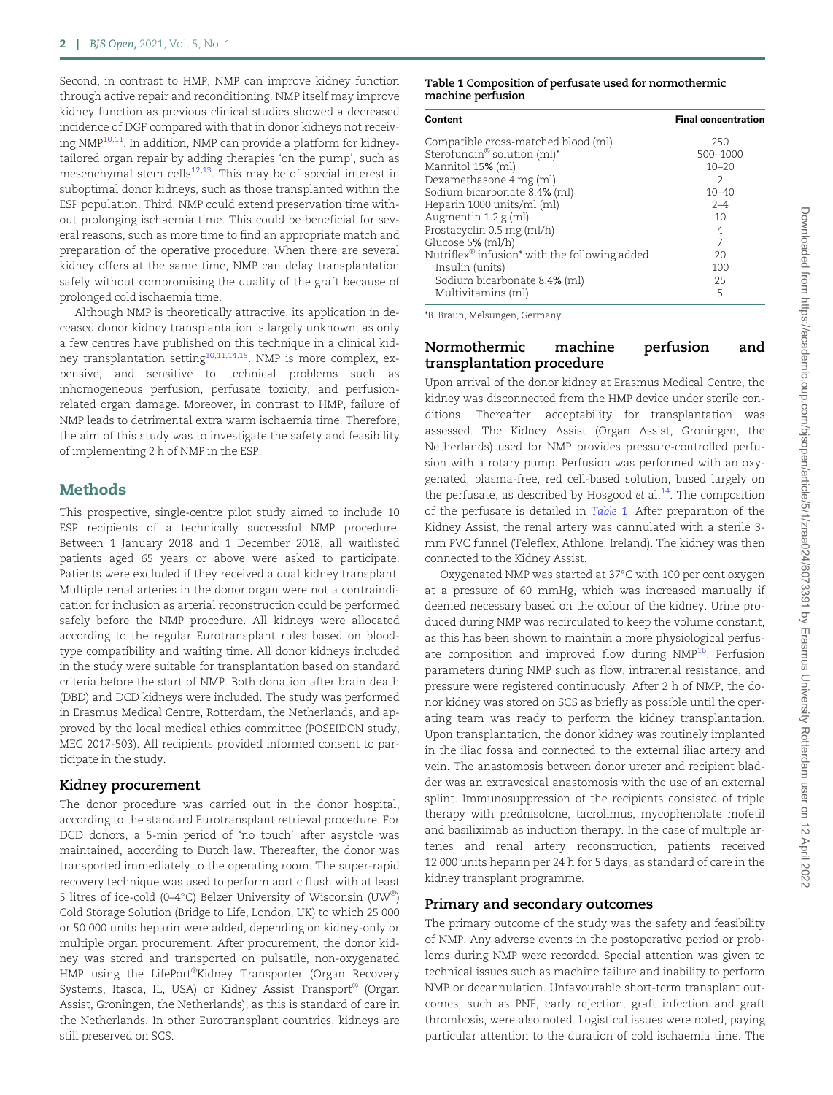<span id="page-1-0"></span>Second, in contrast to HMP, NMP can improve kidney function through active repair and reconditioning. NMP itself may improve kidney function as previous clinical studies showed a decreased incidence of DGF compared with that in donor kidneys not receiving  $NMP^{10,11}$  $NMP^{10,11}$  $NMP^{10,11}$  $NMP^{10,11}$  $NMP^{10,11}$ . In addition, NMP can provide a platform for kidneytailored organ repair by adding therapies 'on the pump', such as mesenchymal stem cells $12,13$  $12,13$  $12,13$ . This may be of special interest in suboptimal donor kidneys, such as those transplanted within the ESP population. Third, NMP could extend preservation time without prolonging ischaemia time. This could be beneficial for several reasons, such as more time to find an appropriate match and preparation of the operative procedure. When there are several kidney offers at the same time, NMP can delay transplantation safely without compromising the quality of the graft because of prolonged cold ischaemia time.

Although NMP is theoretically attractive, its application in deceased donor kidney transplantation is largely unknown, as only a few centres have published on this technique in a clinical kid-ney transplantation setting<sup>[10](#page-6-0),[11](#page-6-0),[14](#page-6-0),[15](#page-6-0)</sup>. NMP is more complex, expensive, and sensitive to technical problems such as inhomogeneous perfusion, perfusate toxicity, and perfusionrelated organ damage. Moreover, in contrast to HMP, failure of NMP leads to detrimental extra warm ischaemia time. Therefore, the aim of this study was to investigate the safety and feasibility of implementing 2 h of NMP in the ESP.

## **Methods**

This prospective, single-centre pilot study aimed to include 10 ESP recipients of a technically successful NMP procedure. Between 1 January 2018 and 1 December 2018, all waitlisted patients aged 65 years or above were asked to participate. Patients were excluded if they received a dual kidney transplant. Multiple renal arteries in the donor organ were not a contraindication for inclusion as arterial reconstruction could be performed safely before the NMP procedure. All kidneys were allocated according to the regular Eurotransplant rules based on bloodtype compatibility and waiting time. All donor kidneys included in the study were suitable for transplantation based on standard criteria before the start of NMP. Both donation after brain death (DBD) and DCD kidneys were included. The study was performed in Erasmus Medical Centre, Rotterdam, the Netherlands, and approved by the local medical ethics committee (POSEIDON study, MEC 2017-503). All recipients provided informed consent to participate in the study.

#### Kidney procurement

The donor procedure was carried out in the donor hospital, according to the standard Eurotransplant retrieval procedure. For DCD donors, a 5-min period of 'no touch' after asystole was maintained, according to Dutch law. Thereafter, the donor was transported immediately to the operating room. The super-rapid recovery technique was used to perform aortic flush with at least 5 litres of ice-cold (0–4°C) Belzer University of Wisconsin (UW®) Cold Storage Solution (Bridge to Life, London, UK) to which 25 000 or 50 000 units heparin were added, depending on kidney-only or multiple organ procurement. After procurement, the donor kidney was stored and transported on pulsatile, non-oxygenated HMP using the LifePort®Kidney Transporter (Organ Recovery Systems, Itasca, IL, USA) or Kidney Assist Transport® (Organ Assist, Groningen, the Netherlands), as this is standard of care in the Netherlands. In other Eurotransplant countries, kidneys are still preserved on SCS.

#### Table 1 Composition of perfusate used for normothermic machine perfusion

| Content                                                               | <b>Final concentration</b> |
|-----------------------------------------------------------------------|----------------------------|
| Compatible cross-matched blood (ml)                                   | 250                        |
| Sterofundin <sup>®</sup> solution (ml) <sup>*</sup>                   | 500-1000                   |
| Mannitol 15% (ml)                                                     | $10 - 20$                  |
| Dexamethasone 4 mg (ml)                                               | 2                          |
| Sodium bicarbonate 8.4% (ml)                                          | $10 - 40$                  |
| Heparin 1000 units/ml (ml)                                            | $2 - 4$                    |
| Augmentin $1.2 g$ (ml)                                                | 10                         |
| Prostacyclin 0.5 mg (ml/h)                                            | 4                          |
| Glucose 5% (ml/h)                                                     |                            |
| Nutriflex <sup>®</sup> infusion <sup>*</sup> with the following added | 20                         |
| Insulin (units)                                                       | 100                        |
|                                                                       | 25                         |
| Multivitamins (ml)                                                    | 5                          |
| Sodium bicarbonate 8.4% (ml)                                          |                            |

\*B. Braun, Melsungen, Germany.

## Normothermic machine perfusion and transplantation procedure

Upon arrival of the donor kidney at Erasmus Medical Centre, the kidney was disconnected from the HMP device under sterile conditions. Thereafter, acceptability for transplantation was assessed. The Kidney Assist (Organ Assist, Groningen, the Netherlands) used for NMP provides pressure-controlled perfusion with a rotary pump. Perfusion was performed with an oxygenated, plasma-free, red cell-based solution, based largely on the perfusate, as described by Hosgood et al. $14$ . The composition of the perfusate is detailed in Table 1. After preparation of the Kidney Assist, the renal artery was cannulated with a sterile 3 mm PVC funnel (Teleflex, Athlone, Ireland). The kidney was then connected to the Kidney Assist.

Oxygenated NMP was started at 37°C with 100 per cent oxygen at a pressure of 60 mmHg, which was increased manually if deemed necessary based on the colour of the kidney. Urine produced during NMP was recirculated to keep the volume constant, as this has been shown to maintain a more physiological perfus-ate composition and improved flow during NMP<sup>[16](#page-6-0)</sup>. Perfusion parameters during NMP such as flow, intrarenal resistance, and pressure were registered continuously. After 2 h of NMP, the donor kidney was stored on SCS as briefly as possible until the operating team was ready to perform the kidney transplantation. Upon transplantation, the donor kidney was routinely implanted in the iliac fossa and connected to the external iliac artery and vein. The anastomosis between donor ureter and recipient bladder was an extravesical anastomosis with the use of an external splint. Immunosuppression of the recipients consisted of triple therapy with prednisolone, tacrolimus, mycophenolate mofetil and basiliximab as induction therapy. In the case of multiple arteries and renal artery reconstruction, patients received 12 000 units heparin per 24 h for 5 days, as standard of care in the kidney transplant programme.

#### Primary and secondary outcomes

The primary outcome of the study was the safety and feasibility of NMP. Any adverse events in the postoperative period or problems during NMP were recorded. Special attention was given to technical issues such as machine failure and inability to perform NMP or decannulation. Unfavourable short-term transplant outcomes, such as PNF, early rejection, graft infection and graft thrombosis, were also noted. Logistical issues were noted, paying particular attention to the duration of cold ischaemia time. The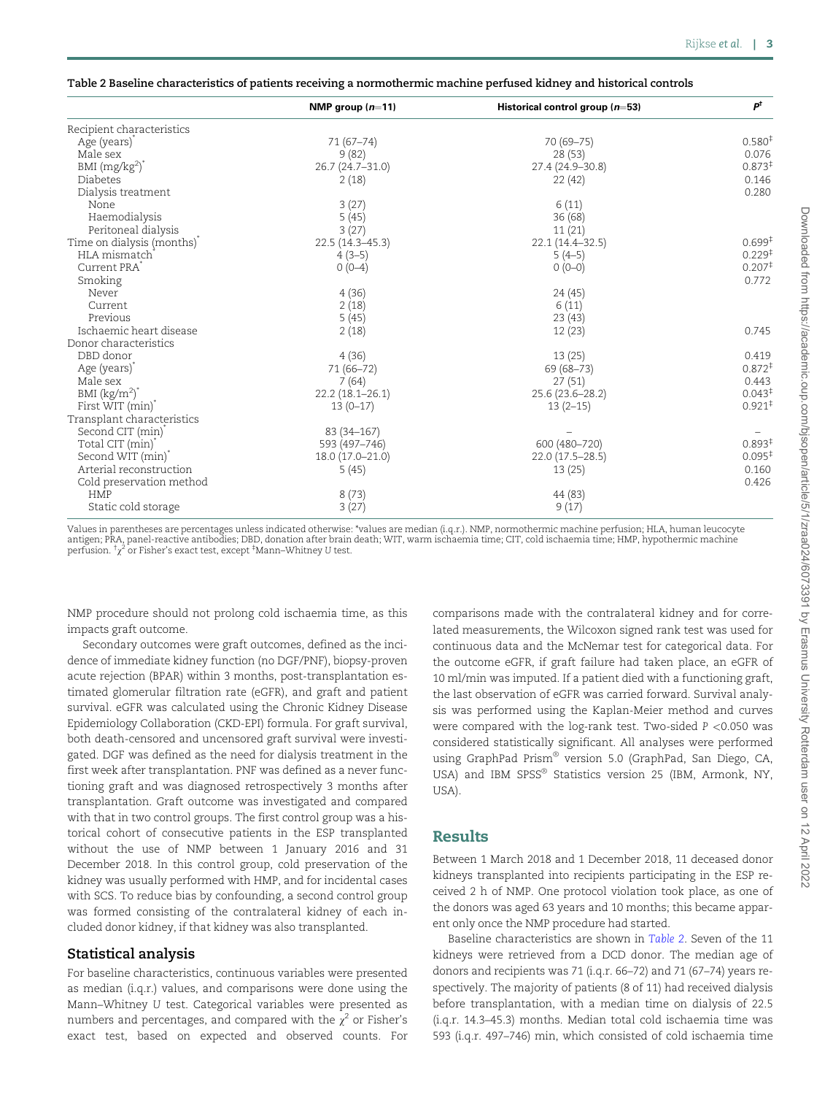<span id="page-2-0"></span>

| Table 2 Baseline characteristics of patients receiving a normothermic machine perfused kidney and historical controls |  |  |
|-----------------------------------------------------------------------------------------------------------------------|--|--|
|                                                                                                                       |  |  |
|                                                                                                                       |  |  |

|                               | NMP group $(n=11)$  | Historical control group $(n=53)$ | $P^{\dagger}$        |
|-------------------------------|---------------------|-----------------------------------|----------------------|
| Recipient characteristics     |                     |                                   |                      |
| Age (years) <sup>*</sup>      | 71 (67-74)          | 70 (69-75)                        | 0.580 <sup>‡</sup>   |
| Male sex                      | 9(82)               | 28(53)                            | 0.076                |
| BMI $(mg/kg2)$ <sup>*</sup>   | 26.7 (24.7-31.0)    | 27.4 (24.9-30.8)                  | $0.873*$             |
| Diabetes                      | 2(18)               | 22(42)                            | 0.146                |
| Dialysis treatment            |                     |                                   | 0.280                |
| None                          | 3(27)               | 6(11)                             |                      |
| Haemodialysis                 | 5(45)               | 36(68)                            |                      |
| Peritoneal dialysis           | 3(27)               | 11(21)                            |                      |
| Time on dialysis (months)*    | $22.5(14.3 - 45.3)$ | 22.1 (14.4-32.5)                  | 0.699 <sup>‡</sup>   |
| HLA mismatch                  | $4(3-5)$            | $5(4-5)$                          | 0.229 <sup>‡</sup>   |
| Current PRA <sup>*</sup>      | $0(0-4)$            | $0(0-0)$                          | 0.207 <sup>‡</sup>   |
| Smoking                       |                     |                                   | 0.772                |
| Never                         | 4(36)               | 24(45)                            |                      |
| Current                       | 2(18)               | 6(11)                             |                      |
| Previous                      | 5(45)               | 23(43)                            |                      |
| Ischaemic heart disease       | 2(18)               | 12(23)                            | 0.745                |
| Donor characteristics         |                     |                                   |                      |
| DBD donor                     | 4(36)               | 13(25)                            | 0.419                |
| Age (years) <sup>*</sup>      | 71 (66-72)          | 69 (68-73)                        | $0.872$ <sup>‡</sup> |
| Male sex                      | 7(64)               | 27(51)                            | 0.443                |
| BMI $(kg/m^2)^*$              | $22.2(18.1 - 26.1)$ | 25.6 (23.6-28.2)                  | 0.043 <sup>‡</sup>   |
| First WIT (min)               | $13(0-17)$          | $13(2-15)$                        | $0.921$ <sup>‡</sup> |
| Transplant characteristics    |                     |                                   |                      |
| Second CIT (min) <sup>*</sup> | 83 (34-167)         |                                   |                      |
| Total CIT (min)               | 593 (497-746)       | 600 (480-720)                     | 0.893 <sup>‡</sup>   |
| Second WIT (min)              | 18.0 (17.0-21.0)    | 22.0 (17.5-28.5)                  | $0.095^{\ddagger}$   |
| Arterial reconstruction       | 5(45)               | 13(25)                            | 0.160                |
| Cold preservation method      |                     |                                   | 0.426                |
| <b>HMP</b>                    | 8(73)               | 44 (83)                           |                      |
| Static cold storage           | 3(27)               | 9(17)                             |                      |

Values in parentheses are percentages unless indicated otherwise: \*values are median (i.q.r.). NMP, normothermic machine perfusion; HLA, human leucocyte antigen; PRA, panel-reactive antibodies; DBD, donation after brain death; WIT, warm ischaemia time; CIT, cold ischaemia time; HMP, hypothermic machine perfusion.  $^{\dagger}\chi^2$  or Fisher's exact test, except  $^{\ddagger}$ Mann–Whitney U test.

NMP procedure should not prolong cold ischaemia time, as this impacts graft outcome.

Secondary outcomes were graft outcomes, defined as the incidence of immediate kidney function (no DGF/PNF), biopsy-proven acute rejection (BPAR) within 3 months, post-transplantation estimated glomerular filtration rate (eGFR), and graft and patient survival. eGFR was calculated using the Chronic Kidney Disease Epidemiology Collaboration (CKD-EPI) formula. For graft survival, both death-censored and uncensored graft survival were investigated. DGF was defined as the need for dialysis treatment in the first week after transplantation. PNF was defined as a never functioning graft and was diagnosed retrospectively 3 months after transplantation. Graft outcome was investigated and compared with that in two control groups. The first control group was a historical cohort of consecutive patients in the ESP transplanted without the use of NMP between 1 January 2016 and 31 December 2018. In this control group, cold preservation of the kidney was usually performed with HMP, and for incidental cases with SCS. To reduce bias by confounding, a second control group was formed consisting of the contralateral kidney of each included donor kidney, if that kidney was also transplanted.

#### Statistical analysis

For baseline characteristics, continuous variables were presented as median (i.q.r.) values, and comparisons were done using the Mann–Whitney U test. Categorical variables were presented as numbers and percentages, and compared with the  $\chi^2$  or Fisher's exact test, based on expected and observed counts. For

comparisons made with the contralateral kidney and for correlated measurements, the Wilcoxon signed rank test was used for continuous data and the McNemar test for categorical data. For the outcome eGFR, if graft failure had taken place, an eGFR of 10 ml/min was imputed. If a patient died with a functioning graft, the last observation of eGFR was carried forward. Survival analysis was performed using the Kaplan-Meier method and curves were compared with the log-rank test. Two-sided  $P < 0.050$  was considered statistically significant. All analyses were performed using GraphPad Prism® version 5.0 (GraphPad, San Diego, CA, USA) and IBM SPSS® Statistics version 25 (IBM, Armonk, NY, USA).

## Results

Between 1 March 2018 and 1 December 2018, 11 deceased donor kidneys transplanted into recipients participating in the ESP received 2 h of NMP. One protocol violation took place, as one of the donors was aged 63 years and 10 months; this became apparent only once the NMP procedure had started.

Baseline characteristics are shown in Table 2. Seven of the 11 kidneys were retrieved from a DCD donor. The median age of donors and recipients was 71 (i.q.r. 66–72) and 71 (67–74) years respectively. The majority of patients (8 of 11) had received dialysis before transplantation, with a median time on dialysis of 22.5 (i.q.r. 14.3–45.3) months. Median total cold ischaemia time was 593 (i.q.r. 497–746) min, which consisted of cold ischaemia time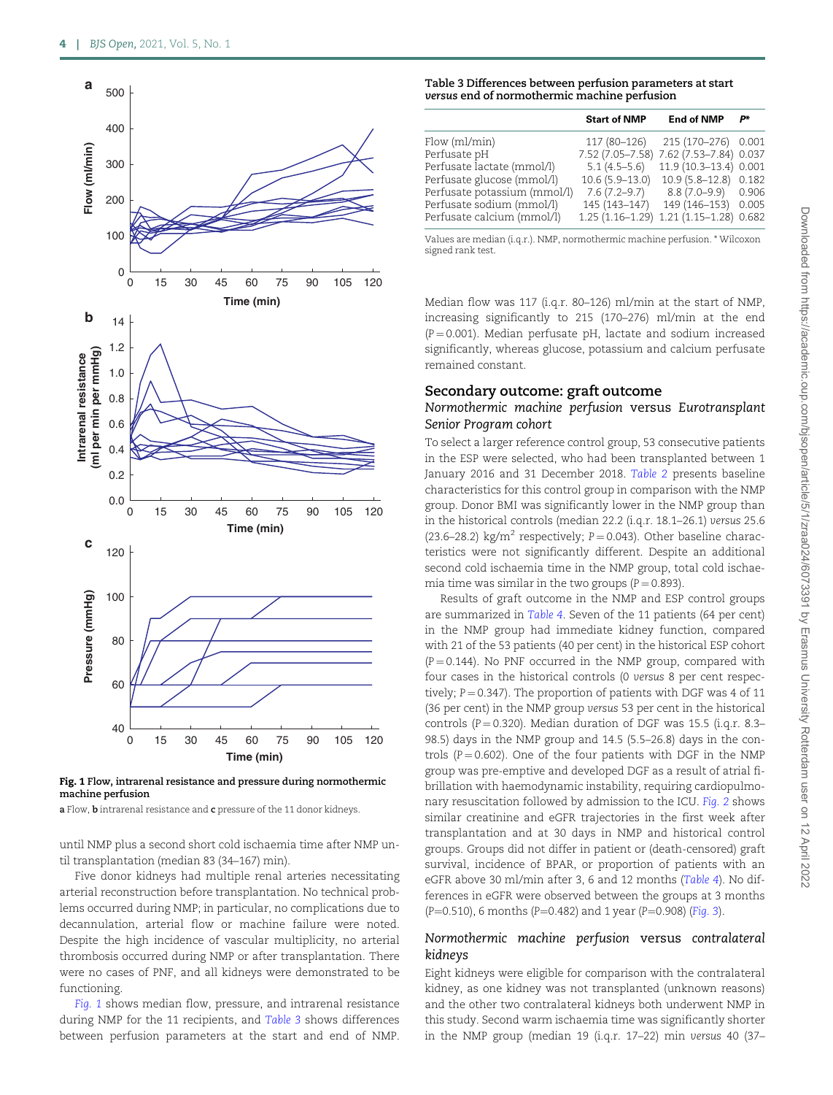

Fig. 1 Flow, intrarenal resistance and pressure during normothermic machine perfusion

a Flow, **b** intrarenal resistance and **c** pressure of the 11 donor kidneys.

until NMP plus a second short cold ischaemia time after NMP until transplantation (median 83 (34–167) min).

Five donor kidneys had multiple renal arteries necessitating arterial reconstruction before transplantation. No technical problems occurred during NMP; in particular, no complications due to decannulation, arterial flow or machine failure were noted. Despite the high incidence of vascular multiplicity, no arterial thrombosis occurred during NMP or after transplantation. There were no cases of PNF, and all kidneys were demonstrated to be functioning.

Fig. 1 shows median flow, pressure, and intrarenal resistance during NMP for the 11 recipients, and Table 3 shows differences between perfusion parameters at the start and end of NMP.

#### Table 3 Differences between perfusion parameters at start versus end of normothermic machine perfusion

|                              | <b>Start of NMP</b> | <b>End of NMP</b>                       | P*    |
|------------------------------|---------------------|-----------------------------------------|-------|
| Flow (ml/min)                |                     | 117 (80-126) 215 (170-276) 0.001        |       |
| Perfusate pH                 |                     | 7.52 (7.05-7.58) 7.62 (7.53-7.84) 0.037 |       |
| Perfusate lactate (mmol/l)   | $5.1(4.5-5.6)$      | 11.9 (10.3-13.4) 0.001                  |       |
| Perfusate glucose (mmol/l)   | $10.6(5.9-13.0)$    | 10.9 (5.8–12.8) 0.182                   |       |
| Perfusate potassium (mmol/l) | 7.6 (7.2–9.7)       | 8.8 (7.0–9.9) 0.906                     |       |
| Perfusate sodium (mmol/l)    | 145 (143-147)       | 149 (146-153)                           | 0.005 |
| Perfusate calcium (mmol/l)   |                     | 1.25 (1.16-1.29) 1.21 (1.15-1.28) 0.682 |       |

Values are median (i.q.r.). NMP, normothermic machine perfusion. \* Wilcoxon signed rank test.

Median flow was 117 (i.q.r. 80–126) ml/min at the start of NMP, increasing significantly to 215 (170–276) ml/min at the end  $(P = 0.001)$ . Median perfusate pH, lactate and sodium increased significantly, whereas glucose, potassium and calcium perfusate remained constant.

#### Secondary outcome: graft outcome

#### Normothermic machine perfusion versus Eurotransplant Senior Program cohort

To select a larger reference control group, 53 consecutive patients in the ESP were selected, who had been transplanted between 1 January 2016 and 31 December 2018. [Table 2](#page-2-0) presents baseline characteristics for this control group in comparison with the NMP group. Donor BMI was significantly lower in the NMP group than in the historical controls (median 22.2 (i.q.r. 18.1–26.1) versus 25.6 (23.6–28.2) kg/m<sup>2</sup> respectively;  $P = 0.043$ ). Other baseline characteristics were not significantly different. Despite an additional second cold ischaemia time in the NMP group, total cold ischaemia time was similar in the two groups  $(P = 0.893)$ .

Results of graft outcome in the NMP and ESP control groups are summarized in [Table 4](#page-4-0). Seven of the 11 patients (64 per cent) in the NMP group had immediate kidney function, compared with 21 of the 53 patients (40 per cent) in the historical ESP cohort  $(P = 0.144)$ . No PNF occurred in the NMP group, compared with four cases in the historical controls (0 versus 8 per cent respectively;  $P = 0.347$ ). The proportion of patients with DGF was 4 of 11 (36 per cent) in the NMP group versus 53 per cent in the historical controls ( $P = 0.320$ ). Median duration of DGF was 15.5 (i.q.r. 8.3– 98.5) days in the NMP group and 14.5 (5.5–26.8) days in the controls ( $P = 0.602$ ). One of the four patients with DGF in the NMP group was pre-emptive and developed DGF as a result of atrial fibrillation with haemodynamic instability, requiring cardiopulmonary resuscitation followed by admission to the ICU. [Fig. 2](#page-4-0) shows similar creatinine and eGFR trajectories in the first week after transplantation and at 30 days in NMP and historical control groups. Groups did not differ in patient or (death-censored) graft survival, incidence of BPAR, or proportion of patients with an eGFR above 30 ml/min after 3, 6 and 12 months ([Table 4](#page-4-0)). No differences in eGFR were observed between the groups at 3 months (P=0.510), 6 months (P=0.482) and 1 year (P=0.908) ([Fig. 3](#page-4-0)).

#### Normothermic machine perfusion versus contralateral kidneys

Eight kidneys were eligible for comparison with the contralateral kidney, as one kidney was not transplanted (unknown reasons) and the other two contralateral kidneys both underwent NMP in this study. Second warm ischaemia time was significantly shorter in the NMP group (median 19 (i.q.r. 17–22) min versus 40 (37–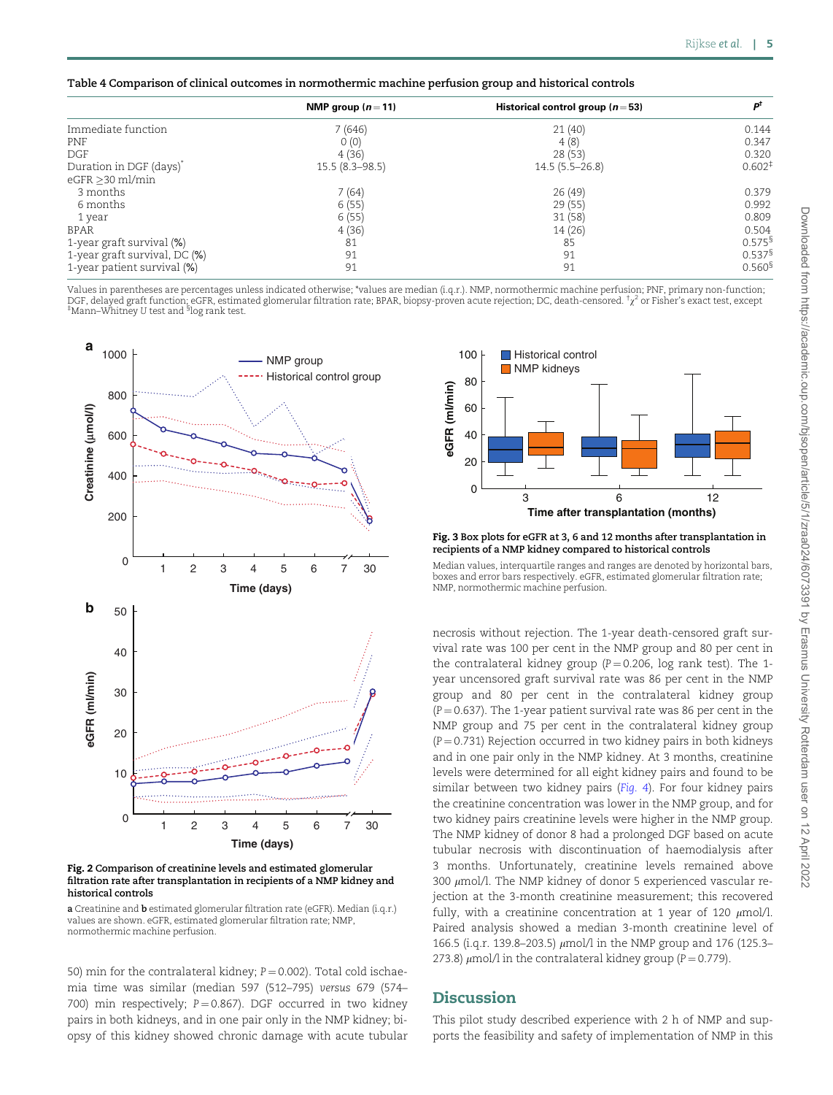<span id="page-4-0"></span>

| Table 4 Comparison of clinical outcomes in normothermic machine perfusion group and historical controls |  |  |  |
|---------------------------------------------------------------------------------------------------------|--|--|--|

|                                     | NMP group $(n=11)$ | Historical control group ( $n = 53$ ) | рt                   |
|-------------------------------------|--------------------|---------------------------------------|----------------------|
| Immediate function                  | 7(646)             | 21(40)                                | 0.144                |
| <b>PNF</b>                          | 0(0)               | 4(8)                                  | 0.347                |
| DGF                                 | 4(36)              | 28(53)                                | 0.320                |
| Duration in DGF (days) <sup>*</sup> | $15.5(8.3 - 98.5)$ | $14.5(5.5-26.8)$                      | 0.602 <sup>‡</sup>   |
| $eGFR > 30$ ml/min                  |                    |                                       |                      |
| 3 months                            | 7(64)              | 26(49)                                | 0.379                |
| 6 months                            | 6(55)              | 29(55)                                | 0.992                |
| 1 year                              | 6(55)              | 31(58)                                | 0.809                |
| <b>BPAR</b>                         | 4(36)              | 14 (26)                               | 0.504                |
| 1-year graft survival (%)           | 81                 | 85                                    | 0.575 <sup>§</sup>   |
| 1-year graft survival, DC (%)       | 91                 | 91                                    | $0.537$ <sup>§</sup> |
| 1-year patient survival (%)         | 91                 | 91                                    | 0.560 <sup>8</sup>   |

Values in parentheses are percentages unless indicated otherwise; \*values are median (i.q.r.). NMP, normothermic machine perfusion; PNF, primary non-function; DGF, delayed graft function; eGFR, estimated glomerular filtration rate; BPAR, biopsy-proven acute rejection; DC, death-censored. †x2 or Fisher's exact test, except<br>‡Mann–Whitney U test and <sup>§</sup>log rank test.



Fig. 2 Comparison of creatinine levels and estimated glomerular filtration rate after transplantation in recipients of a NMP kidney and historical controls

a Creatinine and b estimated glomerular filtration rate (eGFR). Median (i.q.r.) values are shown. eGFR, estimated glomerular filtration rate; NMP, normothermic machine perfusion.

50) min for the contralateral kidney;  $P = 0.002$ ). Total cold ischaemia time was similar (median 597 (512–795) versus 679 (574– 700) min respectively;  $P = 0.867$ ). DGF occurred in two kidney pairs in both kidneys, and in one pair only in the NMP kidney; biopsy of this kidney showed chronic damage with acute tubular



Fig. 3 Box plots for eGFR at 3, 6 and 12 months after transplantation in recipients of a NMP kidney compared to historical controls

Median values, interquartile ranges and ranges are denoted by horizontal bars, boxes and error bars respectively. eGFR, estimated glomerular filtration rate; NMP, normothermic machine perfusion.

necrosis without rejection. The 1-year death-censored graft survival rate was 100 per cent in the NMP group and 80 per cent in the contralateral kidney group ( $P = 0.206$ , log rank test). The 1year uncensored graft survival rate was 86 per cent in the NMP group and 80 per cent in the contralateral kidney group  $(P = 0.637)$ . The 1-year patient survival rate was 86 per cent in the NMP group and 75 per cent in the contralateral kidney group  $(P = 0.731)$  Rejection occurred in two kidney pairs in both kidneys and in one pair only in the NMP kidney. At 3 months, creatinine levels were determined for all eight kidney pairs and found to be similar between two kidney pairs ([Fig. 4](#page-5-0)). For four kidney pairs the creatinine concentration was lower in the NMP group, and for two kidney pairs creatinine levels were higher in the NMP group. The NMP kidney of donor 8 had a prolonged DGF based on acute tubular necrosis with discontinuation of haemodialysis after 3 months. Unfortunately, creatinine levels remained above 300  $\mu$ mol/l. The NMP kidney of donor 5 experienced vascular rejection at the 3-month creatinine measurement; this recovered fully, with a creatinine concentration at 1 year of 120  $\mu$ mol/l. Paired analysis showed a median 3-month creatinine level of 166.5 (i.q.r. 139.8-203.5)  $\mu$ mol/l in the NMP group and 176 (125.3-273.8)  $\mu$ mol/l in the contralateral kidney group (P = 0.779).

# **Discussion**

This pilot study described experience with 2 h of NMP and supports the feasibility and safety of implementation of NMP in this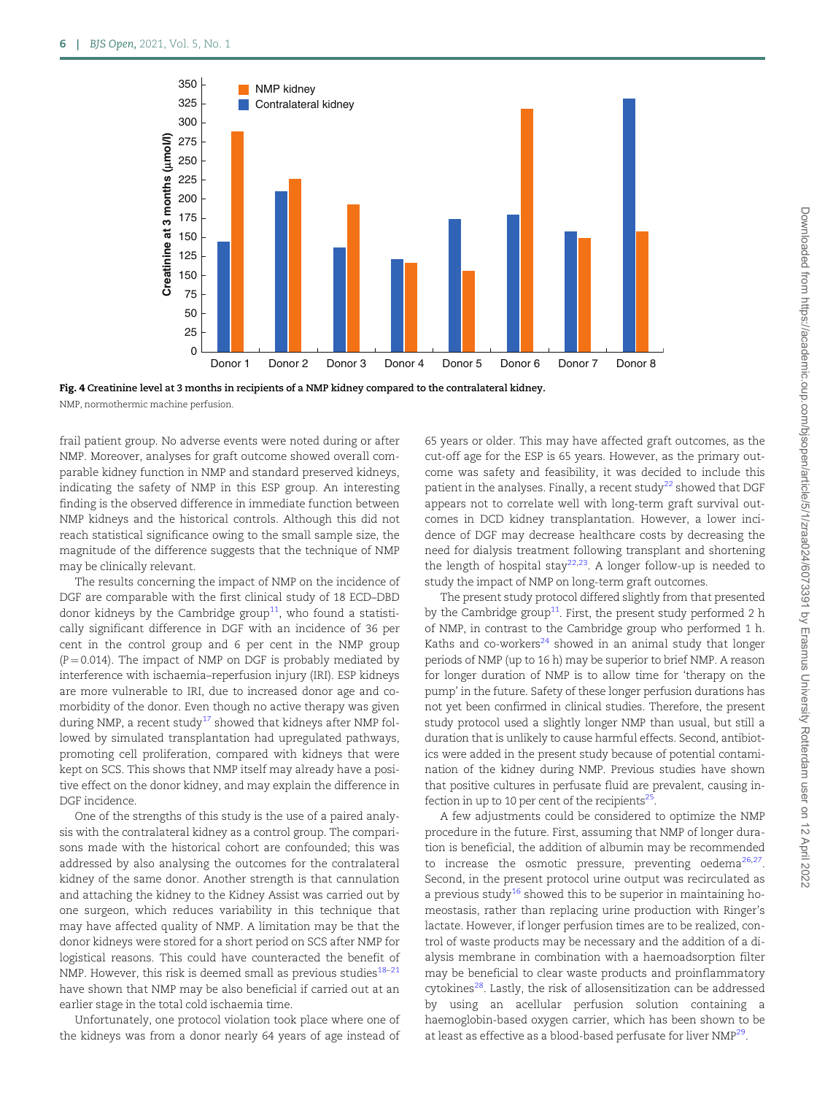<span id="page-5-0"></span>

Fig. 4 Creatinine level at 3 months in recipients of a NMP kidney compared to the contralateral kidney. NMP, normothermic machine perfusion.

frail patient group. No adverse events were noted during or after NMP. Moreover, analyses for graft outcome showed overall comparable kidney function in NMP and standard preserved kidneys, indicating the safety of NMP in this ESP group. An interesting finding is the observed difference in immediate function between NMP kidneys and the historical controls. Although this did not reach statistical significance owing to the small sample size, the magnitude of the difference suggests that the technique of NMP may be clinically relevant.

The results concerning the impact of NMP on the incidence of DGF are comparable with the first clinical study of 18 ECD–DBD donor kidneys by the Cambridge group<sup>[11](#page-6-0)</sup>, who found a statistically significant difference in DGF with an incidence of 36 per cent in the control group and 6 per cent in the NMP group  $(P = 0.014)$ . The impact of NMP on DGF is probably mediated by interference with ischaemia–reperfusion injury (IRI). ESP kidneys are more vulnerable to IRI, due to increased donor age and comorbidity of the donor. Even though no active therapy was given during NMP, a recent study<sup>[17](#page-6-0)</sup> showed that kidneys after NMP followed by simulated transplantation had upregulated pathways, promoting cell proliferation, compared with kidneys that were kept on SCS. This shows that NMP itself may already have a positive effect on the donor kidney, and may explain the difference in DGF incidence.

One of the strengths of this study is the use of a paired analysis with the contralateral kidney as a control group. The comparisons made with the historical cohort are confounded; this was addressed by also analysing the outcomes for the contralateral kidney of the same donor. Another strength is that cannulation and attaching the kidney to the Kidney Assist was carried out by one surgeon, which reduces variability in this technique that may have affected quality of NMP. A limitation may be that the donor kidneys were stored for a short period on SCS after NMP for logistical reasons. This could have counteracted the benefit of NMP. However, this risk is deemed small as previous studies $18-21$ have shown that NMP may be also beneficial if carried out at an earlier stage in the total cold ischaemia time.

Unfortunately, one protocol violation took place where one of the kidneys was from a donor nearly 64 years of age instead of 65 years or older. This may have affected graft outcomes, as the cut-off age for the ESP is 65 years. However, as the primary outcome was safety and feasibility, it was decided to include this patient in the analyses. Finally, a recent study<sup>[22](#page-6-0)</sup> showed that DGF appears not to correlate well with long-term graft survival outcomes in DCD kidney transplantation. However, a lower incidence of DGF may decrease healthcare costs by decreasing the need for dialysis treatment following transplant and shortening the length of hospital stay<sup>[22](#page-6-0),[23](#page-6-0)</sup>. A longer follow-up is needed to study the impact of NMP on long-term graft outcomes.

The present study protocol differed slightly from that presented by the Cambridge group<sup>11</sup>. First, the present study performed 2 h of NMP, in contrast to the Cambridge group who performed 1 h. Kaths and co-workers<sup>24</sup> showed in an animal study that longer periods of NMP (up to 16 h) may be superior to brief NMP. A reason for longer duration of NMP is to allow time for 'therapy on the pump' in the future. Safety of these longer perfusion durations has not yet been confirmed in clinical studies. Therefore, the present study protocol used a slightly longer NMP than usual, but still a duration that is unlikely to cause harmful effects. Second, antibiotics were added in the present study because of potential contamination of the kidney during NMP. Previous studies have shown that positive cultures in perfusate fluid are prevalent, causing infection in up to 10 per cent of the recipients $^{25}$ .

A few adjustments could be considered to optimize the NMP procedure in the future. First, assuming that NMP of longer duration is beneficial, the addition of albumin may be recommended to increase the osmotic pressure, preventing oedema $^{26,27}$ . Second, in the present protocol urine output was recirculated as a previous study<sup>[16](#page-6-0)</sup> showed this to be superior in maintaining homeostasis, rather than replacing urine production with Ringer's lactate. However, if longer perfusion times are to be realized, control of waste products may be necessary and the addition of a dialysis membrane in combination with a haemoadsorption filter may be beneficial to clear waste products and proinflammatory cytokines<sup>28</sup>. Lastly, the risk of allosensitization can be addressed by using an acellular perfusion solution containing a haemoglobin-based oxygen carrier, which has been shown to be at least as effective as a blood-based perfusate for liver NMP<sup>29</sup>.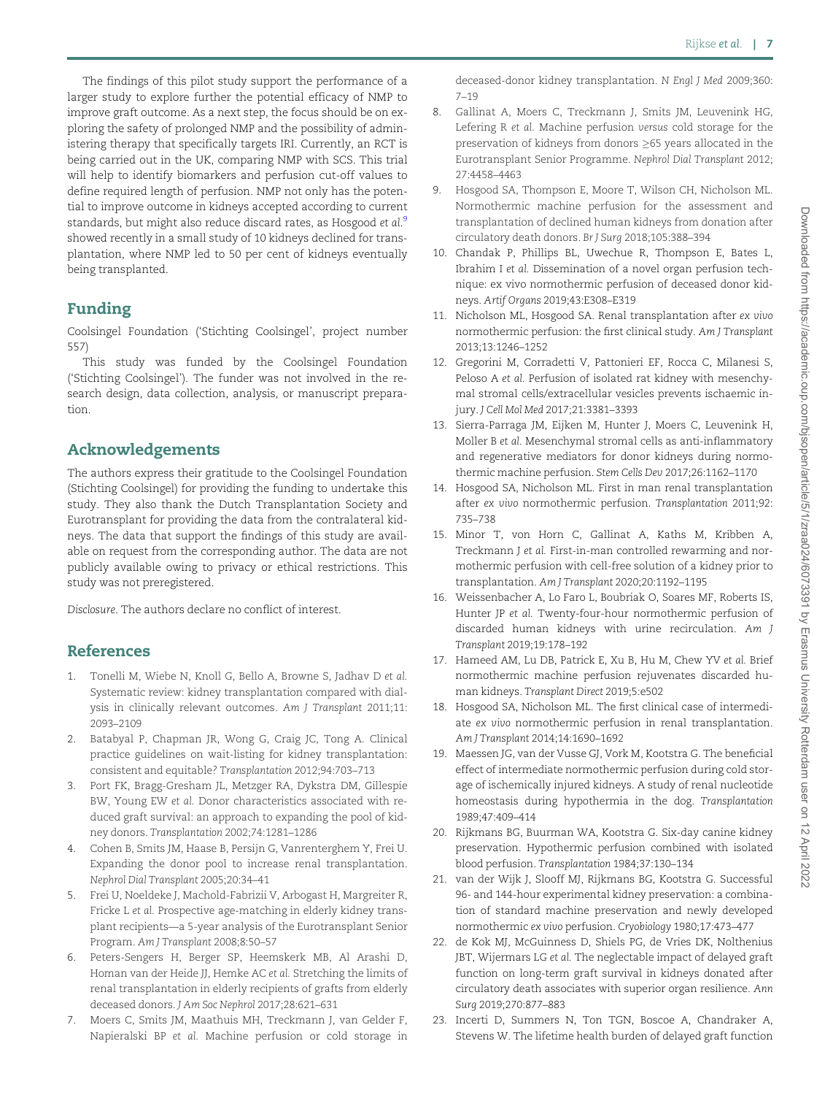<span id="page-6-0"></span>The findings of this pilot study support the performance of a larger study to explore further the potential efficacy of NMP to improve graft outcome. As a next step, the focus should be on exploring the safety of prolonged NMP and the possibility of administering therapy that specifically targets IRI. Currently, an RCT is being carried out in the UK, comparing NMP with SCS. This trial will help to identify biomarkers and perfusion cut-off values to define required length of perfusion. NMP not only has the potential to improve outcome in kidneys accepted according to current standards, but might also reduce discard rates, as Hosgood *e*t al.<sup>9</sup> showed recently in a small study of 10 kidneys declined for transplantation, where NMP led to 50 per cent of kidneys eventually being transplanted.

# Funding

Coolsingel Foundation ('Stichting Coolsingel', project number 557)

This study was funded by the Coolsingel Foundation ('Stichting Coolsingel'). The funder was not involved in the research design, data collection, analysis, or manuscript preparation.

## Acknowledgements

The authors express their gratitude to the Coolsingel Foundation (Stichting Coolsingel) for providing the funding to undertake this study. They also thank the Dutch Transplantation Society and Eurotransplant for providing the data from the contralateral kidneys. The data that support the findings of this study are available on request from the corresponding author. The data are not publicly available owing to privacy or ethical restrictions. This study was not preregistered.

Disclosure. The authors declare no conflict of interest.

# References

- [1](#page-0-0). Tonelli M, Wiebe N, Knoll G, Bello A, Browne S, Jadhav D et al. Systematic review: kidney transplantation compared with dialysis in clinically relevant outcomes. Am J Transplant 2011;11: 2093–2109
- [2](#page-0-0). Batabyal P, Chapman JR, Wong G, Craig JC, Tong A. Clinical practice guidelines on wait-listing for kidney transplantation: consistent and equitable? Transplantation 2012;94:703–713
- [3](#page-0-0). Port FK, Bragg-Gresham JL, Metzger RA, Dykstra DM, Gillespie BW, Young EW et al. Donor characteristics associated with reduced graft survival: an approach to expanding the pool of kidney donors. Transplantation 2002;74:1281–1286
- [4](#page-0-0). Cohen B, Smits JM, Haase B, Persijn G, Vanrenterghem Y, Frei U. Expanding the donor pool to increase renal transplantation. Nephrol Dial Transplant 2005;20:34–41
- [5](#page-0-0). Frei U, Noeldeke J, Machold-Fabrizii V, Arbogast H, Margreiter R, Fricke L et al. Prospective age-matching in elderly kidney transplant recipients—a 5-year analysis of the Eurotransplant Senior Program. Am J Transplant 2008;8:50–57
- [6](#page-0-0). Peters-Sengers H, Berger SP, Heemskerk MB, Al Arashi D, Homan van der Heide JJ, Hemke AC et al. Stretching the limits of renal transplantation in elderly recipients of grafts from elderly deceased donors. J Am Soc Nephrol 2017;28:621–631
- [7](#page-0-0). Moers C, Smits JM, Maathuis MH, Treckmann J, van Gelder F, Napieralski BP et al. Machine perfusion or cold storage in

deceased-donor kidney transplantation. N Engl J Med 2009;360: 7–19

- [8.](#page-0-0) Gallinat A, Moers C, Treckmann J, Smits JM, Leuvenink HG, Lefering R et al. Machine perfusion versus cold storage for the preservation of kidneys from donors 65 years allocated in the Eurotransplant Senior Programme. Nephrol Dial Transplant 2012; 27:4458–4463
- [9.](#page-0-0) Hosgood SA, Thompson E, Moore T, Wilson CH, Nicholson ML. Normothermic machine perfusion for the assessment and transplantation of declined human kidneys from donation after circulatory death donors. Br J Surg 2018;105:388–394
- [10.](#page-1-0) Chandak P, Phillips BL, Uwechue R, Thompson E, Bates L, Ibrahim I et al. Dissemination of a novel organ perfusion technique: ex vivo normothermic perfusion of deceased donor kidneys. Artif Organs 2019;43:E308–E319
- [11.](#page-1-0) Nicholson ML, Hosgood SA. Renal transplantation after ex vivo normothermic perfusion: the first clinical study. Am J Transplant 2013;13:1246–1252
- [12.](#page-1-0) Gregorini M, Corradetti V, Pattonieri EF, Rocca C, Milanesi S, Peloso A et al. Perfusion of isolated rat kidney with mesenchymal stromal cells/extracellular vesicles prevents ischaemic injury. J Cell Mol Med 2017;21:3381–3393
- [13.](#page-1-0) Sierra-Parraga JM, Eijken M, Hunter J, Moers C, Leuvenink H, Moller B et al. Mesenchymal stromal cells as anti-inflammatory and regenerative mediators for donor kidneys during normothermic machine perfusion. Stem Cells Dev 2017;26:1162–1170
- [14.](#page-1-0) Hosgood SA, Nicholson ML. First in man renal transplantation after ex vivo normothermic perfusion. Transplantation 2011;92: 735–738
- [15.](#page-1-0) Minor T, von Horn C, Gallinat A, Kaths M, Kribben A, Treckmann J et al. First-in-man controlled rewarming and normothermic perfusion with cell-free solution of a kidney prior to transplantation. Am J Transplant 2020;20:1192–1195
- [16.](#page-1-0) Weissenbacher A, Lo Faro L, Boubriak O, Soares MF, Roberts IS, Hunter JP et al. Twenty-four-hour normothermic perfusion of discarded human kidneys with urine recirculation. Am J Transplant 2019;19:178–192
- [17.](#page-5-0) Hameed AM, Lu DB, Patrick E, Xu B, Hu M, Chew YV et al. Brief normothermic machine perfusion rejuvenates discarded human kidneys. Transplant Direct 2019;5:e502
- 18. Hosgood SA, Nicholson ML. The first clinical case of intermediate ex vivo normothermic perfusion in renal transplantation. Am J Transplant 2014;14:1690–1692
- 19. Maessen JG, van der Vusse GJ, Vork M, Kootstra G. The beneficial effect of intermediate normothermic perfusion during cold storage of ischemically injured kidneys. A study of renal nucleotide homeostasis during hypothermia in the dog. Transplantation 1989;47:409–414
- 20. Rijkmans BG, Buurman WA, Kootstra G. Six-day canine kidney preservation. Hypothermic perfusion combined with isolated blood perfusion. Transplantation 1984;37:130–134
- 21. van der Wijk J, Slooff MJ, Rijkmans BG, Kootstra G. Successful 96- and 144-hour experimental kidney preservation: a combination of standard machine preservation and newly developed normothermic ex vivo perfusion. Cryobiology 1980;17:473–477
- [22.](#page-5-0) de Kok MJ, McGuinness D, Shiels PG, de Vries DK, Nolthenius JBT, Wijermars LG et al. The neglectable impact of delayed graft function on long-term graft survival in kidneys donated after circulatory death associates with superior organ resilience. Ann Surg 2019;270:877–883
- [23.](#page-5-0) Incerti D, Summers N, Ton TGN, Boscoe A, Chandraker A, Stevens W. The lifetime health burden of delayed graft function